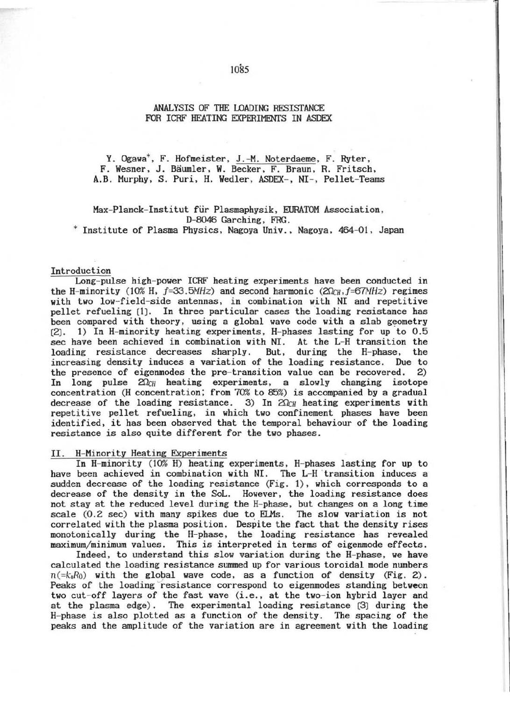## ANALYSIS OF THE LOADING RESISTANCE FOR ICRF HEATING EXPERIMENTS IN ASDEX

Y. Ogawa\*, F. Hofmeister, J.-M. Noterdaeme, F. Ryter, F. Wesner, J. Bäumler, W. Becker, F. Braun, R. Fritsch, A.B. Murphy, S. Puri, H. Wedler, ASDEX-, NI-, Pellet-Teams

Max-Planck-Institut für Plasmaphysik, EURATOM Association, D-8046 Garching, FRG.

\* Institute of Plasma Physics, Nagoya Univ., Nagoya, 464-01, Japan

# Introduction

Long-pulse high-power ICRF heating experiments have been conducted in the H-minority (10% H,  $f=33.5MHz$ ) and second harmonic (20 $c_H$ ,  $f=67MHz$ ) regimes with two low-field-side antennas, in combination with NI and repetitive pellet refueling [1]. In three particular cases the loading resistance has been compared with theory, using a global wave code with a slab geometry 1) In H-minority heating experiments, H-phases lasting for up to 0.5  $[2]$ . sec have been achieved in combination with NI. At the L-H transition the loading resistance decreases sharply. But, during the H-phase, the increasing density induces a variation of the loading resistance. Due to the presence of eigenmodes the pre-transition value can be recovered.  $(2)$ In long pulse  $2\Omega_{CH}$  heating experiments, a slowly changing isotope concentration (H concentration; from 70% to 85%) is accompanied by a gradual decrease of the loading resistance. 3) In  $20<sub>CH</sub>$  heating experiments with repetitive pellet refueling, in which two confinement phases have been identified, it has been observed that the temporal behaviour of the loading resistance is also quite different for the two phases.

### II. H-Minority Heating Experiments

In H-minority (10% H) heating experiments, H-phases lasting for up to have been achieved in combination with NI. The L-H transition induces a sudden decrease of the loading resistance (Fig. 1), which corresponds to a decrease of the density in the SoL. However, the loading resistance does not stay at the reduced level during the H-phase, but changes on a long time scale (0.2 sec) with many spikes due to ELMs. The slow variation is not correlated with the plasma position. Despite the fact that the density rises monotonically during the H-phase, the loading resistance has revealed maximum/minimum values. This is interpreted in terms of eigenmode effects.

Indeed, to understand this slow variation during the H-phase, we have calculated the loading resistance summed up for various toroidal mode numbers  $n(=\mathbf{k}_{\parallel}R_0)$  with the global wave code, as a function of density (Fig. 2). Peaks of the loading resistance correspond to eigenmodes standing between two cut-off layers of the fast wave (i.e., at the two-ion hybrid layer and at the plasma edge). The experimental loading resistance [3] during the H-phase is also plotted as a function of the density. The spacing of the peaks and the amplitude of the variation are in agreement with the loading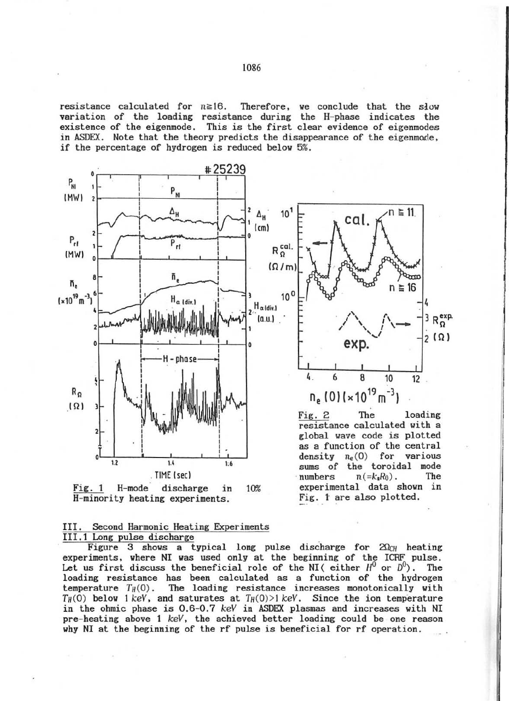resistance calculated for  $n \ge 16$ . Therefore, we conclude that the slow variation of the loading resistance during the H-phase indicates the existence of the eigenmode. This is the first clear evidence of eigenmodes in ASDEX. Note that the theory predicts the disappearance of the eigenmode, if the percentage of hydrogen is reduced below 5%.



Fig. 1 H-mode discharge in H-minority heating experiments. 10%

111. Second Harmonic Heating Experiments 111.1 Long pulse discharge \_

Figure 3 shows a typical long pulse discharge for  $20c_H$  heating experiments, where NI was used only at the beginning of the ICRF pulse. Let us first discuss the beneficial role of the NI (either  $H^0$  or  $D^0$ ). The loading resistance has been calculated as a function of the hydrogen temperature  $T_H(0)$ . The loading resistance increases monotonically with  $T_H(0)$  below 1 keV, and saturates at  $T_H(0) > 1$  keV. Since the ion temperature in the ohmic phase is 0.6-0.7 keY in ASDEX plasmas and increases with NI pre- heating above 1 keV, the achieved better loading could be one reason why NI at the beginning of the rf pulse is beneficial for rf operation .

Fig. t are also plotted.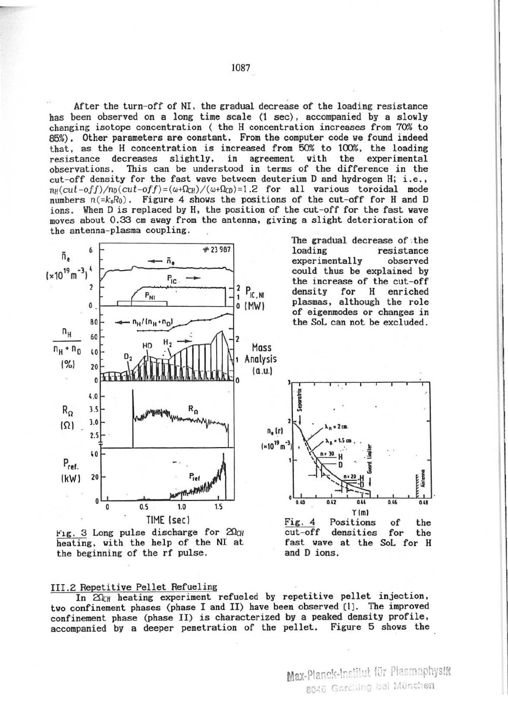After the turn-off of NI, the gradual decrease of the loading resistance has been observed on a long time scale (1 sec), accompanied by a slowly changing isotope concentration ( the H concentration increases from 70% to 85%). Other parameters are constant. From the computer code we found indeed that, as the H concentration is increased from 50% to 100%, the loading resistance decreases slightly, in agreement with the experimental observations. This can be understood in terms of the difference in the cut-off density for the fast wave between deuterium D and hydrogen H; i.e.,  $n_H(cut-off)/n_D(cut-off)=(\omega+\Omega_{CH})/(\omega+\Omega_{CD})=1.2$  for all various toroidal mode numbers  $n(-k_1R_0)$ . Figure 4 shows the positions of the cut-off for H and D ions. When D is replaced by H, the position of the cut-off for the fast wave moves about 0.33 cm away from the antenna, giving a slight deterioration of the antenna-plasma coupling.





III.2 Repetitive Pellet Refueling

In  $2\Omega_{CH}$  heating experiment refueled by repetitive pellet injection, two confinement phases (phase I and II) have been observed [1]. The improved confinement phase (phase II) is characterized by a peaked density profile, accompanied by a deeper penetration of the pellet. Figure 5 shows the

Max-Planck-Institut für Plasmaphysta 8046 Garching bai München

The gradual decrease of the resistance experimentally observed could thus be explained by the increase of the cut-off for Н enriched plasmas, although the role of eigenmodes or changes in the SoL can not be excluded.